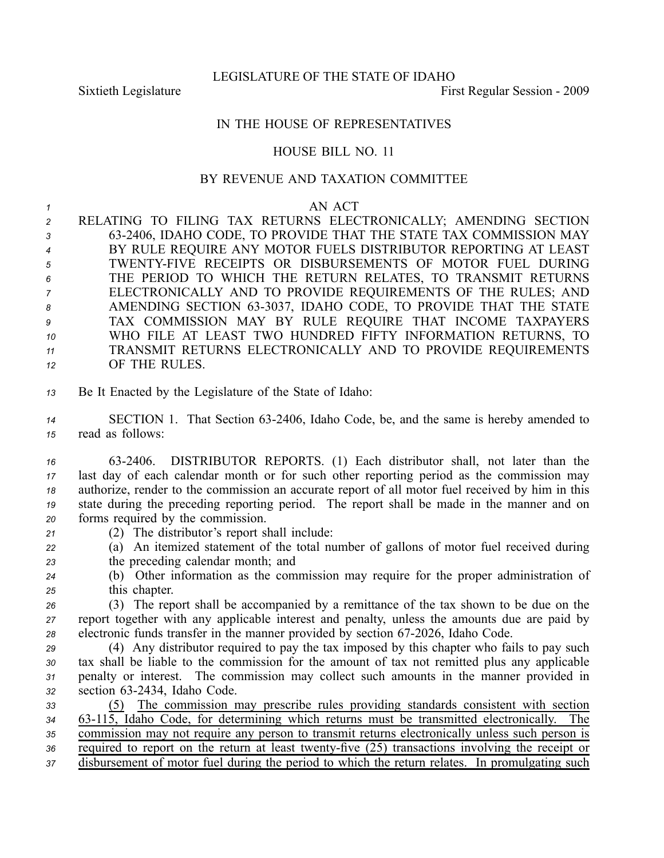LEGISLATURE OF THE STATE OF IDAHO

Sixtieth Legislature **First** Regular Session - 2009

## IN THE HOUSE OF REPRESENTATIVES

## HOUSE BILL NO. 11

## BY REVENUE AND TAXATION COMMITTEE

## *<sup>1</sup>* AN ACT

- *<sup>2</sup>* RELATING TO FILING TAX RETURNS ELECTRONICALLY; AMENDING SECTION *<sup>3</sup>* 632406, IDAHO CODE, TO PROVIDE THAT THE STATE TAX COMMISSION MAY *<sup>4</sup>* BY RULE REQUIRE ANY MOTOR FUELS DISTRIBUTOR REPORTING AT LEAST *<sup>5</sup>* TWENTYFIVE RECEIPTS OR DISBURSEMENTS OF MOTOR FUEL DURING *<sup>6</sup>* THE PERIOD TO WHICH THE RETURN RELATES, TO TRANSMIT RETURNS *<sup>7</sup>* ELECTRONICALLY AND TO PROVIDE REQUIREMENTS OF THE RULES; AND *<sup>8</sup>* AMENDING SECTION 633037, IDAHO CODE, TO PROVIDE THAT THE STATE *<sup>9</sup>* TAX COMMISSION MAY BY RULE REQUIRE THAT INCOME TAXPAYERS *<sup>10</sup>* WHO FILE AT LEAST TWO HUNDRED FIFTY INFORMATION RETURNS, TO *<sup>11</sup>* TRANSMIT RETURNS ELECTRONICALLY AND TO PROVIDE REQUIREMENTS *<sup>12</sup>* OF THE RULES.
- *<sup>13</sup>* Be It Enacted by the Legislature of the State of Idaho:
- *<sup>14</sup>* SECTION 1. That Section 632406, Idaho Code, be, and the same is hereby amended to *<sup>15</sup>* read as follows:
- *<sup>16</sup>* 632406. DISTRIBUTOR REPORTS. (1) Each distributor shall, not later than the *<sup>17</sup>* last day of each calendar month or for such other reporting period as the commission may *<sup>18</sup>* authorize, render to the commission an accurate repor<sup>t</sup> of all motor fuel received by him in this *<sup>19</sup>* state during the preceding reporting period. The repor<sup>t</sup> shall be made in the manner and on *<sup>20</sup>* forms required by the commission.
- *<sup>21</sup>* (2) The distributor's repor<sup>t</sup> shall include:
- *<sup>22</sup>* (a) An itemized statement of the total number of gallons of motor fuel received during *<sup>23</sup>* the preceding calendar month; and
- *<sup>24</sup>* (b) Other information as the commission may require for the proper administration of *<sup>25</sup>* this chapter.
- *<sup>26</sup>* (3) The repor<sup>t</sup> shall be accompanied by <sup>a</sup> remittance of the tax shown to be due on the *<sup>27</sup>* repor<sup>t</sup> together with any applicable interest and penalty, unless the amounts due are paid by 28 electronic funds transfer in the manner provided by section 67-2026, Idaho Code.
- *<sup>29</sup>* (4) Any distributor required to pay the tax imposed by this chapter who fails to pay such *<sup>30</sup>* tax shall be liable to the commission for the amount of tax not remitted plus any applicable *<sup>31</sup>* penalty or interest. The commission may collect such amounts in the manner provided in *<sup>32</sup>* section 632434, Idaho Code.
- *<sup>33</sup>* (5) The commission may prescribe rules providing standards consistent with section *<sup>34</sup>* 63115, Idaho Code, for determining which returns must be transmitted electronically. The *<sup>35</sup>* commission may not require any person to transmit returns electronically unless such person is *36* required to report on the return at least twenty-five (25) transactions involving the receipt or *<sup>37</sup>* disbursement of motor fuel during the period to which the return relates. In promulgating such